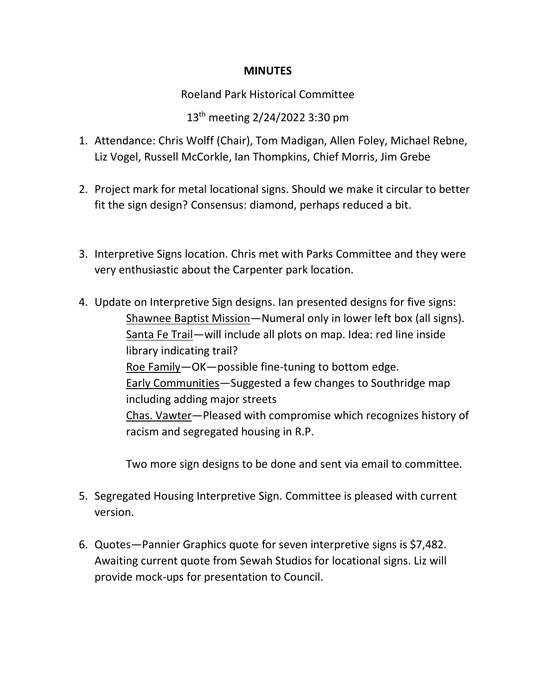## **MINUTES**

Roeland Park Historical Committee

13 th meeting 2/24/2022 3:30 pm

- 1. Attendance: Chris Wolff (Chair), Tom Madigan, Allen Foley, Michael Rebne, Liz Vogel, Russell McCorkle, Ian Thompkins, Chief Morris, Jim Grebe
- 2. Project mark for metal locational signs. Should we make it circular to better fit the sign design? Consensus: diamond, perhaps reduced a bit.
- 3. Interpretive Signs location. Chris met with Parks Committee and they were very enthusiastic about the Carpenter park location.
- 4. Update on Interpretive Sign designs. Ian presented designs for five signs: Shawnee Baptist Mission—Numeral only in lower left box (all signs). Santa Fe Trail—will include all plots on map. Idea: red line inside library indicating trail? Roe Family—OK—possible fine-tuning to bottom edge. Early Communities—Suggested a few changes to Southridge map including adding major streets Chas. Vawter—Pleased with compromise which recognizes history of racism and segregated housing in R.P.

Two more sign designs to be done and sent via email to committee.

- 5. Segregated Housing Interpretive Sign. Committee is pleased with current version.
- 6. Quotes—Pannier Graphics quote for seven interpretive signs is \$7,482. Awaiting current quote from Sewah Studios for locational signs. Liz will provide mock-ups for presentation to Council.